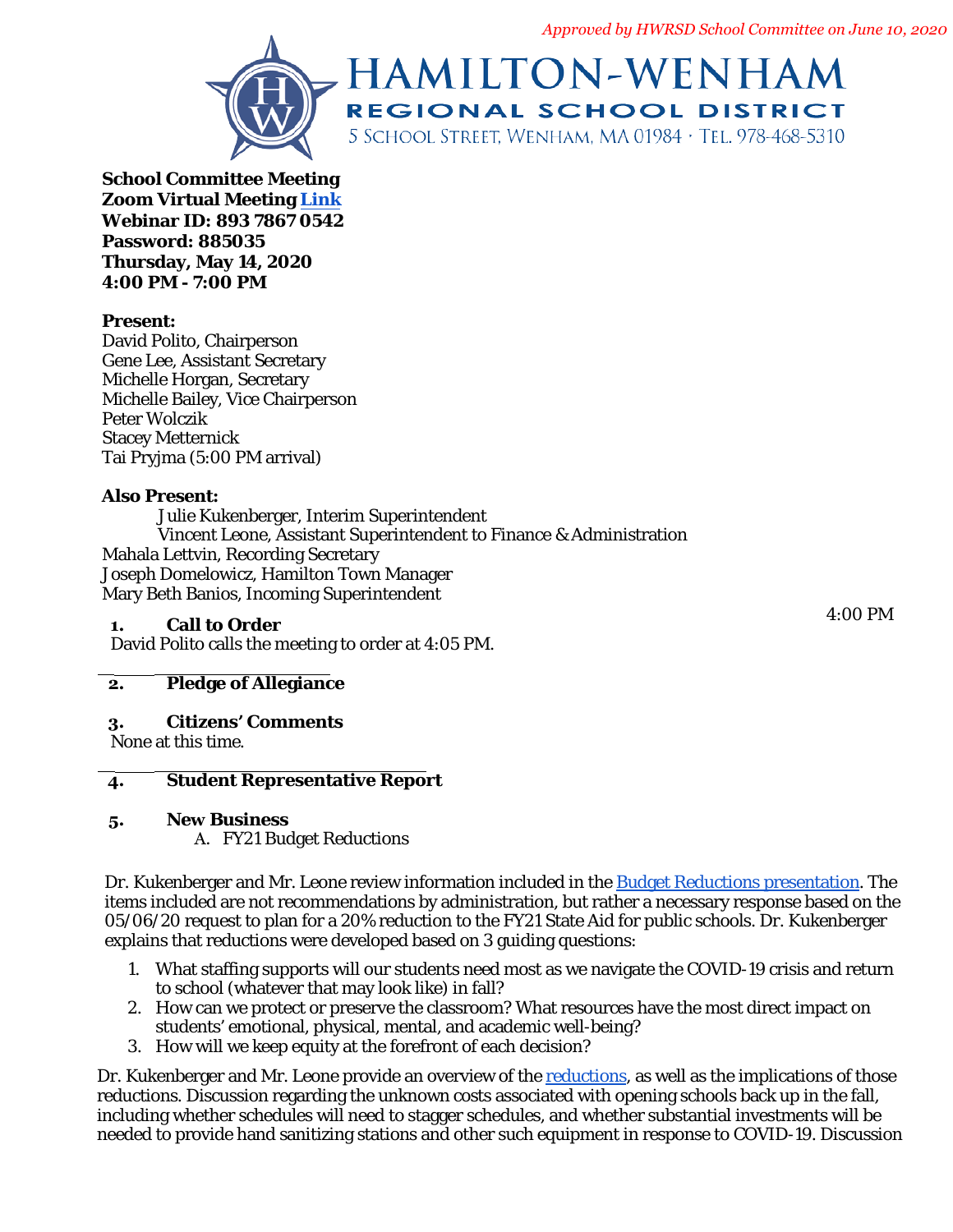*Approved by HWRSD School Committee on June 10, 2020*



**School Committee M[eeting](https://us02web.zoom.us/j/89378670542?pwd=NC9DeGlGZUMyUTdqT2RvZGo0eGRHQT09) Zoom Virtual Meeting Link Webinar ID: 893 7867 0542 Password: 885035 Thursday, May 14, 2020 4:00 PM - 7:00 PM**

## **Present:**

David Polito, Chairperson Gene Lee, Assistant Secretary Michelle Horgan, Secretary Michelle Bailey, Vice Chairperson Peter Wolczik Stacey Metternick Tai Pryjma (5:00 PM arrival)

### **Also Present:**

Julie Kukenberger, Interim Superintendent Vincent Leone, Assistant Superintendent to Finance & Administration Mahala Lettvin, Recording Secretary Joseph Domelowicz, Hamilton Town Manager Mary Beth Banios, Incoming Superintendent

## **1. Call to Order**

David Polito calls the meeting to order at 4:05 PM.

## **2. Pledge of Allegiance**

### **3. Citizens' Comments**

None at this time.

### **4. Student Representative Report**

### **5. New Business**

A. FY21 Budget Reductions

Dr. Kukenberger and Mr. Leone review information included in the [Budget Reductions presentation.](https://docs.google.com/presentation/d/1yD4bK7nNmRdxf8QVR_Wyd1-IbNpyQ0WehytsZAo6YIM/edit#slide=id.g6319ba54ed_4_45) The items included are not recommendations by administration, but rather a necessary response based on the 05/06/20 request to plan for a 20% reduction to the FY21 State Aid for public schools. Dr. Kukenberger explains that reductions were developed based on 3 guiding questions:

- 1. What staffing supports will our students need most as we navigate the COVID-19 crisis and return to school (whatever that may look like) in fall?
- 2. How can we protect or preserve the classroom? What resources have the most direct impact on students' emotional, physical, mental, and academic well-being?
- 3. How will we keep equity at the forefront of each decision?

Dr. Kukenberger and Mr. Leone provide an overview of th[e reductions,](https://docs.google.com/spreadsheets/d/1ftvyzipClEUVYAmRm-PrAi7670EFeoHwGWCJJepw_as/edit#gid=0) as well as the implications of those reductions. Discussion regarding the unknown costs associated with opening schools back up in the fall, including whether schedules will need to stagger schedules, and whether substantial investments will be needed to provide hand sanitizing stations and other such equipment in response to COVID-19. Discussion

4:00 PM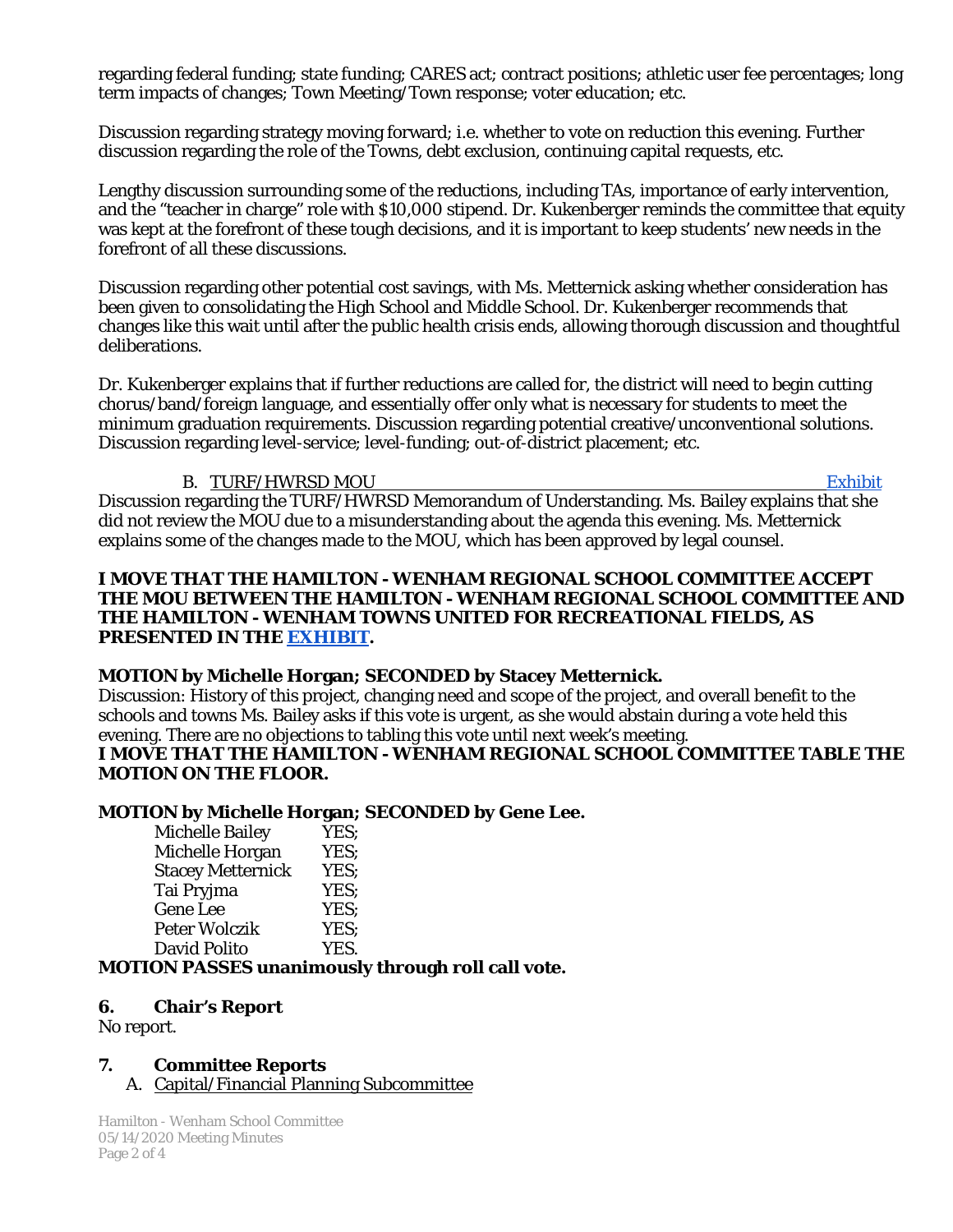regarding federal funding; state funding; CARES act; contract positions; athletic user fee percentages; long term impacts of changes; Town Meeting/Town response; voter education; etc.

Discussion regarding strategy moving forward; i.e. whether to vote on reduction this evening. Further discussion regarding the role of the Towns, debt exclusion, continuing capital requests, etc.

Lengthy discussion surrounding some of the reductions, including TAs, importance of early intervention, and the "teacher in charge" role with \$10,000 stipend. Dr. Kukenberger reminds the committee that equity was kept at the forefront of these tough decisions, and it is important to keep students' new needs in the forefront of all these discussions.

Discussion regarding other potential cost savings, with Ms. Metternick asking whether consideration has been given to consolidating the High School and Middle School. Dr. Kukenberger recommends that changes like this wait until after the public health crisis ends, allowing thorough discussion and thoughtful deliberations.

Dr. Kukenberger explains that if further reductions are called for, the district will need to begin cutting chorus/band/foreign language, and essentially offer only what is necessary for students to meet the minimum graduation requirements. Discussion regarding potential creative/unconventional solutions. Discussion regarding level-service; level-funding; out-of-district placement; etc.

#### B. TURF/HWRSD MOU [Exhibit](https://drive.google.com/file/d/1u7qfGe38yR1kWWEnX1YtdVylpwZIqiWk/view?usp=sharing)

Discussion regarding the TURF/HWRSD Memorandum of Understanding. Ms. Bailey explains that she did not review the MOU due to a misunderstanding about the agenda this evening. Ms. Metternick explains some of the changes made to the MOU, which has been approved by legal counsel.

#### **I MOVE THAT THE HAMILTON - WENHAM REGIONAL SCHOOL COMMITTEE ACCEPT THE MOU BETWEEN THE HAMILTON - WENHAM REGIONAL SCHOOL COMMITTEE AND THE HAMILTON - WENHAM TOWNS UNITED FOR RECREATIONAL FIELDS, AS PRESENTED IN THE [EXHIBIT.](https://drive.google.com/file/d/1u7qfGe38yR1kWWEnX1YtdVylpwZIqiWk/view?usp=sharing)**

### **MOTION by Michelle Horgan; SECONDED by Stacey Metternick.**

*Discussion*: History of this project, changing need and scope of the project, and overall benefit to the schools and towns Ms. Bailey asks if this vote is urgent, as she would abstain during a vote held this evening. There are no objections to tabling this vote until next week's meeting.

#### **I MOVE THAT THE HAMILTON - WENHAM REGIONAL SCHOOL COMMITTEE TABLE THE MOTION ON THE FLOOR.**

# **MOTION by Michelle Horgan; SECONDED by Gene Lee.**

Michelle Bailey Michelle Horgan YES; Stacey Metternick YES;<br>Tai Pryjma YES; Tai Pryjma Gene Lee YES: Peter Wolczik YES;<br>David Polito YES. David Polito

### **MOTION PASSES unanimously through roll call vote.**

### **6. Chair's Report**

No report.

### **7. Committee Reports**

A. Capital/Financial Planning Subcommittee

Hamilton - Wenham School Committee 05/14/2020 Meeting Minutes Page 2 of 4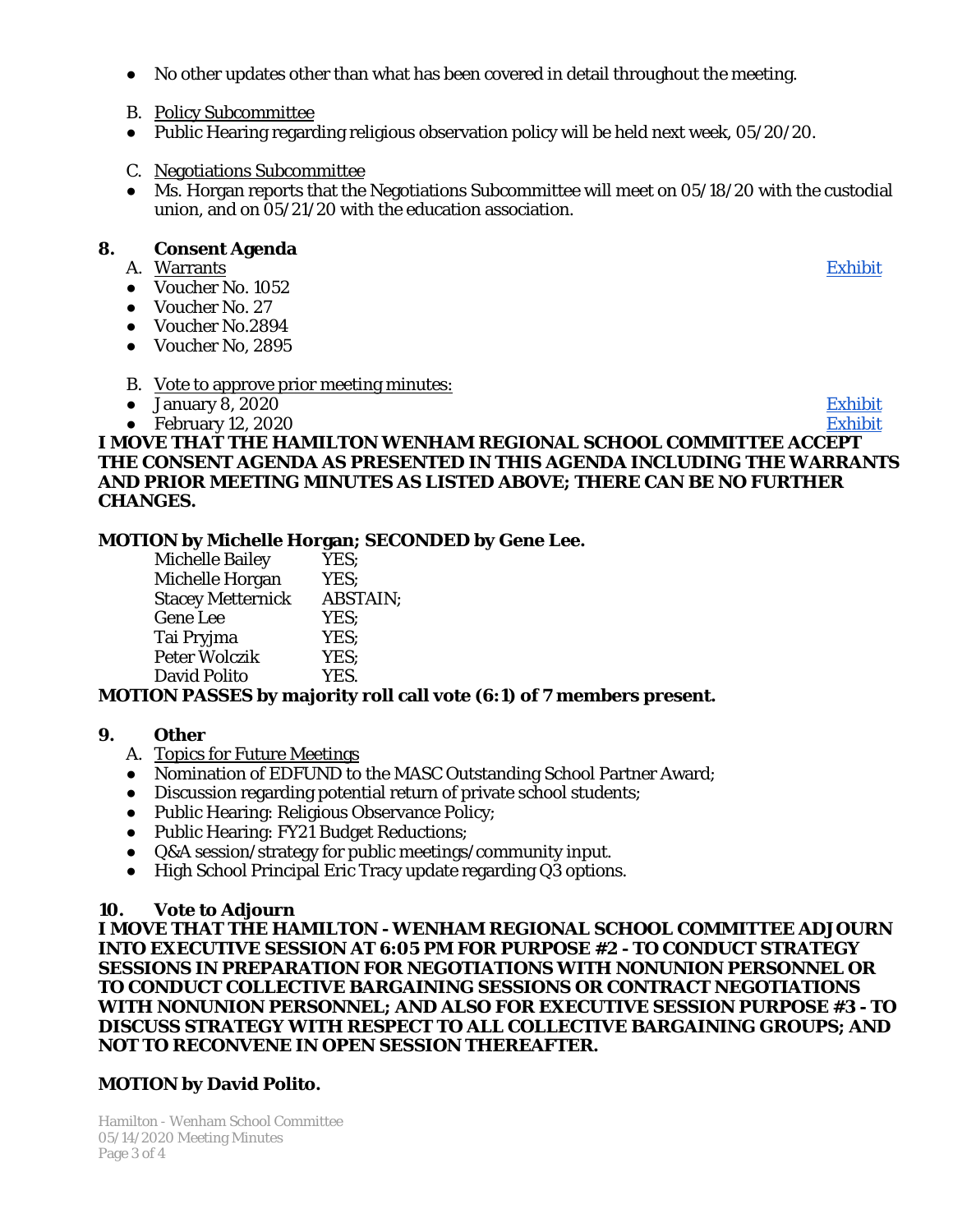- No other updates other than what has been covered in detail throughout the meeting.
- B. Policy Subcommittee
- Public Hearing regarding religious observation policy will be held next week, 05/20/20.
- C. Negotiations Subcommittee
- Ms. Horgan reports that the Negotiations Subcommittee will meet on 05/18/20 with the custodial union, and on 05/21/20 with the education association.

#### **8. Consent Agenda**

- A. Warrants [Exhibit](https://drive.google.com/file/d/1vCzFv9QI-ZMT8OayfYo8Uq13_WuKX-5a/view?usp=sharing)
- Voucher No. 1052
- Voucher No. 27
- Voucher No.2894
- Voucher No, 2895
- B. Vote to approve prior meeting minutes:
- January 8, 2020 [Exhibit](https://drive.google.com/file/d/1D17CgT5PbqNSNQi0Q0fQJ4_8UciiTQ2O/view?usp=sharing)
- 

#### ● February 12, 2020 [Exhibit](https://drive.google.com/file/d/1EX2on2L-1kNh5bLkyfZDa_u-5sdKKB5Y/view?usp=sharing) **I MOVE THAT THE HAMILTON WENHAM REGIONAL SCHOOL COMMITTEE ACCEPT THE CONSENT AGENDA AS PRESENTED IN THIS AGENDA INCLUDING THE WARRANTS AND PRIOR MEETING MINUTES AS LISTED ABOVE; THERE CAN BE NO FURTHER CHANGES.**

### **MOTION by Michelle Horgan; SECONDED by Gene Lee.**

| <b>Michelle Bailey</b>   | YES;            |
|--------------------------|-----------------|
| Michelle Horgan          | YES:            |
| <b>Stacey Metternick</b> | <b>ABSTAIN:</b> |
| Gene Lee                 | YES:            |
| Tai Pryjma               | YES:            |
| Peter Wolczik            | YES;            |
| David Polito             | YES.            |

### **MOTION PASSES by majority roll call vote (6:1) of 7 members present.**

### **9. Other**

- A. Topics for Future Meetings
- Nomination of EDFUND to the MASC Outstanding School Partner Award;
- Discussion regarding potential return of private school students;
- Public Hearing: Religious Observance Policy;
- Public Hearing: FY21 Budget Reductions;
- Q&A session/strategy for public meetings/community input.
- High School Principal Eric Tracy update regarding Q3 options.

### **10. Vote to Adjourn**

**I MOVE THAT THE HAMILTON - WENHAM REGIONAL SCHOOL COMMITTEE ADJOURN INTO EXECUTIVE SESSION AT 6:05 PM FOR PURPOSE #2 - TO CONDUCT STRATEGY SESSIONS IN PREPARATION FOR NEGOTIATIONS WITH NONUNION PERSONNEL OR TO CONDUCT COLLECTIVE BARGAINING SESSIONS OR CONTRACT NEGOTIATIONS WITH NONUNION PERSONNEL; AND ALSO FOR EXECUTIVE SESSION PURPOSE #3 - TO DISCUSS STRATEGY WITH RESPECT TO ALL COLLECTIVE BARGAINING GROUPS; AND NOT TO RECONVENE IN OPEN SESSION THEREAFTER.**

### **MOTION by David Polito.**

Hamilton - Wenham School Committee 05/14/2020 Meeting Minutes Page 3 of 4